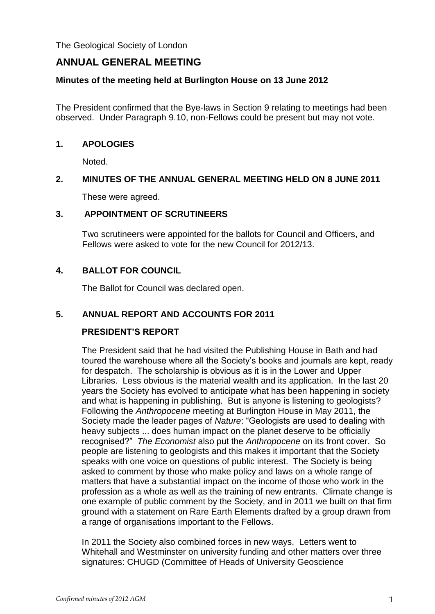The Geological Society of London

# **ANNUAL GENERAL MEETING**

#### **Minutes of the meeting held at Burlington House on 13 June 2012**

The President confirmed that the Bye-laws in Section 9 relating to meetings had been observed. Under Paragraph 9.10, non-Fellows could be present but may not vote.

#### **1. APOLOGIES**

Noted.

### **2. MINUTES OF THE ANNUAL GENERAL MEETING HELD ON 8 JUNE 2011**

These were agreed.

### **3. APPOINTMENT OF SCRUTINEERS**

Two scrutineers were appointed for the ballots for Council and Officers, and Fellows were asked to vote for the new Council for 2012/13.

### **4. BALLOT FOR COUNCIL**

The Ballot for Council was declared open.

### **5. ANNUAL REPORT AND ACCOUNTS FOR 2011**

### **PRESIDENT'S REPORT**

The President said that he had visited the Publishing House in Bath and had toured the warehouse where all the Society's books and journals are kept, ready for despatch. The scholarship is obvious as it is in the Lower and Upper Libraries. Less obvious is the material wealth and its application. In the last 20 years the Society has evolved to anticipate what has been happening in society and what is happening in publishing. But is anyone is listening to geologists? Following the *Anthropocene* meeting at Burlington House in May 2011, the Society made the leader pages of *Nature*: "Geologists are used to dealing with heavy subjects ... does human impact on the planet deserve to be officially recognised?" *The Economist* also put the *Anthropocene* on its front cover. So people are listening to geologists and this makes it important that the Society speaks with one voice on questions of public interest. The Society is being asked to comment by those who make policy and laws on a whole range of matters that have a substantial impact on the income of those who work in the profession as a whole as well as the training of new entrants. Climate change is one example of public comment by the Society, and in 2011 we built on that firm ground with a statement on Rare Earth Elements drafted by a group drawn from a range of organisations important to the Fellows.

In 2011 the Society also combined forces in new ways. Letters went to Whitehall and Westminster on university funding and other matters over three signatures: CHUGD (Committee of Heads of University Geoscience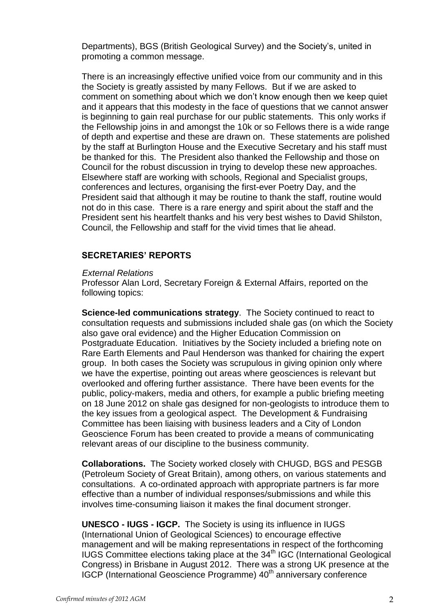Departments), BGS (British Geological Survey) and the Society's, united in promoting a common message.

There is an increasingly effective unified voice from our community and in this the Society is greatly assisted by many Fellows. But if we are asked to comment on something about which we don't know enough then we keep quiet and it appears that this modesty in the face of questions that we cannot answer is beginning to gain real purchase for our public statements. This only works if the Fellowship joins in and amongst the 10k or so Fellows there is a wide range of depth and expertise and these are drawn on. These statements are polished by the staff at Burlington House and the Executive Secretary and his staff must be thanked for this. The President also thanked the Fellowship and those on Council for the robust discussion in trying to develop these new approaches. Elsewhere staff are working with schools, Regional and Specialist groups, conferences and lectures, organising the first-ever Poetry Day, and the President said that although it may be routine to thank the staff, routine would not do in this case. There is a rare energy and spirit about the staff and the President sent his heartfelt thanks and his very best wishes to David Shilston, Council, the Fellowship and staff for the vivid times that lie ahead.

#### **SECRETARIES' REPORTS**

#### *External Relations*

Professor Alan Lord, Secretary Foreign & External Affairs, reported on the following topics:

**Science-led communications strategy**. The Society continued to react to consultation requests and submissions included shale gas (on which the Society also gave oral evidence) and the Higher Education Commission on Postgraduate Education. Initiatives by the Society included a briefing note on Rare Earth Elements and Paul Henderson was thanked for chairing the expert group. In both cases the Society was scrupulous in giving opinion only where we have the expertise, pointing out areas where geosciences is relevant but overlooked and offering further assistance. There have been events for the public, policy-makers, media and others, for example a public briefing meeting on 18 June 2012 on shale gas designed for non-geologists to introduce them to the key issues from a geological aspect. The Development & Fundraising Committee has been liaising with business leaders and a City of London Geoscience Forum has been created to provide a means of communicating relevant areas of our discipline to the business community.

**Collaborations.** The Society worked closely with CHUGD, BGS and PESGB (Petroleum Society of Great Britain), among others, on various statements and consultations. A co-ordinated approach with appropriate partners is far more effective than a number of individual responses/submissions and while this involves time-consuming liaison it makes the final document stronger.

**UNESCO - IUGS - IGCP.** The Society is using its influence in IUGS (International Union of Geological Sciences) to encourage effective management and will be making representations in respect of the forthcoming  $IUGS$  Committee elections taking place at the  $34<sup>th</sup> IGC$  (International Geological Congress) in Brisbane in August 2012. There was a strong UK presence at the IGCP (International Geoscience Programme) 40<sup>th</sup> anniversary conference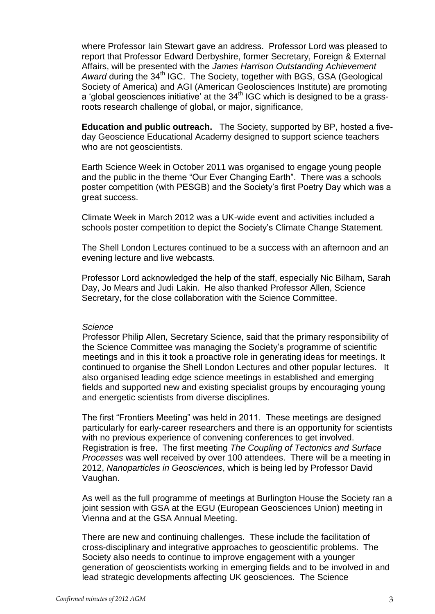where Professor Iain Stewart gave an address. Professor Lord was pleased to report that Professor Edward Derbyshire, former Secretary, Foreign & External Affairs, will be presented with the *James Harrison Outstanding Achievement*  Award during the 34<sup>th</sup> IGC. The Society, together with BGS, GSA (Geological Society of America) and AGI (American Geolosciences Institute) are promoting a 'global geosciences initiative' at the  $34<sup>th</sup>$  IGC which is designed to be a grassroots research challenge of global, or major, significance,

**Education and public outreach.** The Society, supported by BP, hosted a fiveday Geoscience Educational Academy designed to support science teachers who are not geoscientists.

Earth Science Week in October 2011 was organised to engage young people and the public in the theme "Our Ever Changing Earth". There was a schools poster competition (with PESGB) and the Society's first Poetry Day which was a great success.

Climate Week in March 2012 was a UK-wide event and activities included a schools poster competition to depict the Society's Climate Change Statement.

The Shell London Lectures continued to be a success with an afternoon and an evening lecture and live webcasts.

Professor Lord acknowledged the help of the staff, especially Nic Bilham, Sarah Day, Jo Mears and Judi Lakin. He also thanked Professor Allen, Science Secretary, for the close collaboration with the Science Committee.

#### *Science*

Professor Philip Allen, Secretary Science, said that the primary responsibility of the Science Committee was managing the Society's programme of scientific meetings and in this it took a proactive role in generating ideas for meetings. It continued to organise the Shell London Lectures and other popular lectures. It also organised leading edge science meetings in established and emerging fields and supported new and existing specialist groups by encouraging young and energetic scientists from diverse disciplines.

The first "Frontiers Meeting" was held in 2011. These meetings are designed particularly for early-career researchers and there is an opportunity for scientists with no previous experience of convening conferences to get involved. Registration is free. The first meeting *The Coupling of Tectonics and Surface Processes* was well received by over 100 attendees. There will be a meeting in 2012, *Nanoparticles in Geosciences*, which is being led by Professor David Vaughan.

As well as the full programme of meetings at Burlington House the Society ran a joint session with GSA at the EGU (European Geosciences Union) meeting in Vienna and at the GSA Annual Meeting.

There are new and continuing challenges. These include the facilitation of cross-disciplinary and integrative approaches to geoscientific problems. The Society also needs to continue to improve engagement with a younger generation of geoscientists working in emerging fields and to be involved in and lead strategic developments affecting UK geosciences. The Science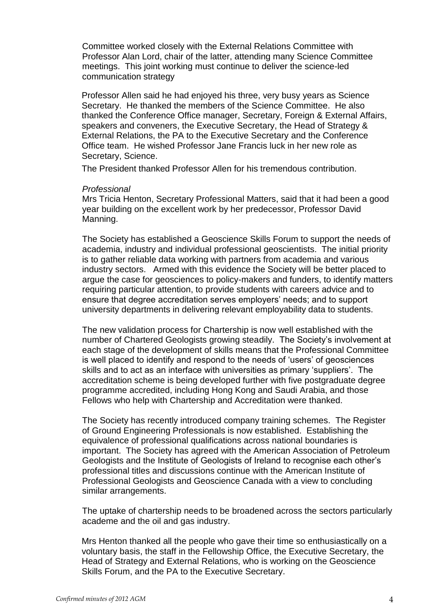Committee worked closely with the External Relations Committee with Professor Alan Lord, chair of the latter, attending many Science Committee meetings. This joint working must continue to deliver the science-led communication strategy

Professor Allen said he had enjoyed his three, very busy years as Science Secretary. He thanked the members of the Science Committee. He also thanked the Conference Office manager, Secretary, Foreign & External Affairs, speakers and conveners, the Executive Secretary, the Head of Strategy & External Relations, the PA to the Executive Secretary and the Conference Office team. He wished Professor Jane Francis luck in her new role as Secretary, Science.

The President thanked Professor Allen for his tremendous contribution.

#### *Professional*

Mrs Tricia Henton, Secretary Professional Matters, said that it had been a good year building on the excellent work by her predecessor, Professor David Manning.

The Society has established a Geoscience Skills Forum to support the needs of academia, industry and individual professional geoscientists. The initial priority is to gather reliable data working with partners from academia and various industry sectors. Armed with this evidence the Society will be better placed to argue the case for geosciences to policy-makers and funders, to identify matters requiring particular attention, to provide students with careers advice and to ensure that degree accreditation serves employers' needs; and to support university departments in delivering relevant employability data to students.

The new validation process for Chartership is now well established with the number of Chartered Geologists growing steadily. The Society's involvement at each stage of the development of skills means that the Professional Committee is well placed to identify and respond to the needs of 'users' of geosciences skills and to act as an interface with universities as primary 'suppliers'. The accreditation scheme is being developed further with five postgraduate degree programme accredited, including Hong Kong and Saudi Arabia, and those Fellows who help with Chartership and Accreditation were thanked.

The Society has recently introduced company training schemes. The Register of Ground Engineering Professionals is now established. Establishing the equivalence of professional qualifications across national boundaries is important. The Society has agreed with the American Association of Petroleum Geologists and the Institute of Geologists of Ireland to recognise each other's professional titles and discussions continue with the American Institute of Professional Geologists and Geoscience Canada with a view to concluding similar arrangements.

The uptake of chartership needs to be broadened across the sectors particularly academe and the oil and gas industry.

Mrs Henton thanked all the people who gave their time so enthusiastically on a voluntary basis, the staff in the Fellowship Office, the Executive Secretary, the Head of Strategy and External Relations, who is working on the Geoscience Skills Forum, and the PA to the Executive Secretary.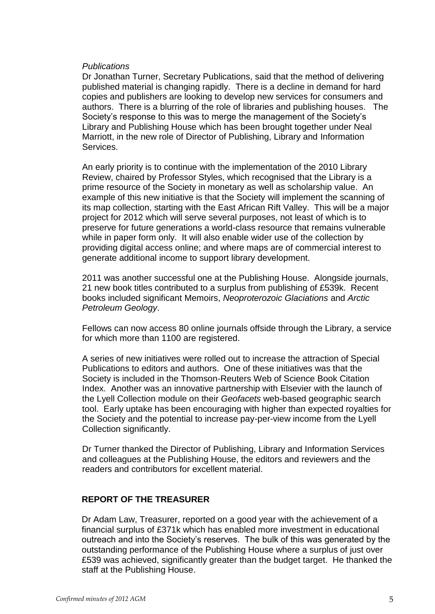#### *Publications*

Dr Jonathan Turner, Secretary Publications, said that the method of delivering published material is changing rapidly. There is a decline in demand for hard copies and publishers are looking to develop new services for consumers and authors. There is a blurring of the role of libraries and publishing houses. The Society's response to this was to merge the management of the Society's Library and Publishing House which has been brought together under Neal Marriott, in the new role of Director of Publishing, Library and Information Services.

An early priority is to continue with the implementation of the 2010 Library Review, chaired by Professor Styles, which recognised that the Library is a prime resource of the Society in monetary as well as scholarship value. An example of this new initiative is that the Society will implement the scanning of its map collection, starting with the East African Rift Valley. This will be a major project for 2012 which will serve several purposes, not least of which is to preserve for future generations a world-class resource that remains vulnerable while in paper form only. It will also enable wider use of the collection by providing digital access online; and where maps are of commercial interest to generate additional income to support library development.

2011 was another successful one at the Publishing House. Alongside journals, 21 new book titles contributed to a surplus from publishing of £539k. Recent books included significant Memoirs, *Neoproterozoic Glaciations* and *Arctic Petroleum Geology*.

Fellows can now access 80 online journals offside through the Library, a service for which more than 1100 are registered.

A series of new initiatives were rolled out to increase the attraction of Special Publications to editors and authors. One of these initiatives was that the Society is included in the Thomson-Reuters Web of Science Book Citation Index. Another was an innovative partnership with Elsevier with the launch of the Lyell Collection module on their *Geofacets* web-based geographic search tool. Early uptake has been encouraging with higher than expected royalties for the Society and the potential to increase pay-per-view income from the Lyell Collection significantly.

Dr Turner thanked the Director of Publishing, Library and Information Services and colleagues at the Publishing House, the editors and reviewers and the readers and contributors for excellent material.

### **REPORT OF THE TREASURER**

Dr Adam Law, Treasurer, reported on a good year with the achievement of a financial surplus of £371k which has enabled more investment in educational outreach and into the Society's reserves. The bulk of this was generated by the outstanding performance of the Publishing House where a surplus of just over £539 was achieved, significantly greater than the budget target. He thanked the staff at the Publishing House.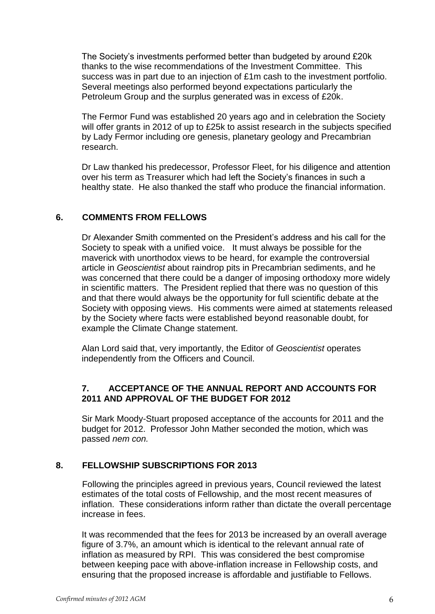The Society's investments performed better than budgeted by around £20k thanks to the wise recommendations of the Investment Committee. This success was in part due to an injection of £1m cash to the investment portfolio. Several meetings also performed beyond expectations particularly the Petroleum Group and the surplus generated was in excess of £20k.

The Fermor Fund was established 20 years ago and in celebration the Society will offer grants in 2012 of up to £25k to assist research in the subjects specified by Lady Fermor including ore genesis, planetary geology and Precambrian research.

Dr Law thanked his predecessor, Professor Fleet, for his diligence and attention over his term as Treasurer which had left the Society's finances in such a healthy state. He also thanked the staff who produce the financial information.

## **6. COMMENTS FROM FELLOWS**

Dr Alexander Smith commented on the President's address and his call for the Society to speak with a unified voice. It must always be possible for the maverick with unorthodox views to be heard, for example the controversial article in *Geoscientist* about raindrop pits in Precambrian sediments, and he was concerned that there could be a danger of imposing orthodoxy more widely in scientific matters. The President replied that there was no question of this and that there would always be the opportunity for full scientific debate at the Society with opposing views. His comments were aimed at statements released by the Society where facts were established beyond reasonable doubt, for example the Climate Change statement.

Alan Lord said that, very importantly, the Editor of *Geoscientist* operates independently from the Officers and Council.

## **7. ACCEPTANCE OF THE ANNUAL REPORT AND ACCOUNTS FOR 2011 AND APPROVAL OF THE BUDGET FOR 2012**

Sir Mark Moody-Stuart proposed acceptance of the accounts for 2011 and the budget for 2012. Professor John Mather seconded the motion, which was passed *nem con.*

## **8. FELLOWSHIP SUBSCRIPTIONS FOR 2013**

Following the principles agreed in previous years, Council reviewed the latest estimates of the total costs of Fellowship, and the most recent measures of inflation. These considerations inform rather than dictate the overall percentage increase in fees.

It was recommended that the fees for 2013 be increased by an overall average figure of 3.7%, an amount which is identical to the relevant annual rate of inflation as measured by RPI. This was considered the best compromise between keeping pace with above-inflation increase in Fellowship costs, and ensuring that the proposed increase is affordable and justifiable to Fellows.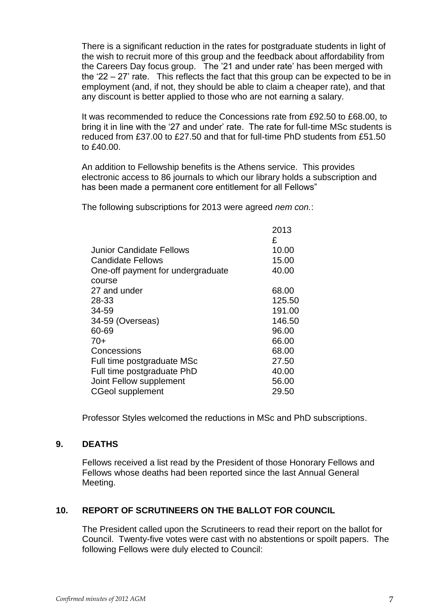There is a significant reduction in the rates for postgraduate students in light of the wish to recruit more of this group and the feedback about affordability from the Careers Day focus group. The '21 and under rate' has been merged with the '22 – 27' rate. This reflects the fact that this group can be expected to be in employment (and, if not, they should be able to claim a cheaper rate), and that any discount is better applied to those who are not earning a salary.

It was recommended to reduce the Concessions rate from £92.50 to £68.00, to bring it in line with the '27 and under' rate. The rate for full-time MSc students is reduced from £37.00 to £27.50 and that for full-time PhD students from £51.50 to £40.00.

An addition to Fellowship benefits is the Athens service. This provides electronic access to 86 journals to which our library holds a subscription and has been made a permanent core entitlement for all Fellows"

The following subscriptions for 2013 were agreed *nem con.*:

|                                   | 2013   |
|-----------------------------------|--------|
|                                   | £      |
| Junior Candidate Fellows          | 10.00  |
| <b>Candidate Fellows</b>          | 15.00  |
| One-off payment for undergraduate | 40.00  |
| course                            |        |
| 27 and under                      | 68.00  |
| 28-33                             | 125.50 |
| 34-59                             | 191.00 |
| 34-59 (Overseas)                  | 146.50 |
| 60-69                             | 96.00  |
| $70+$                             | 66.00  |
| Concessions                       | 68.00  |
| Full time postgraduate MSc        | 27.50  |
| Full time postgraduate PhD        | 40.00  |
| Joint Fellow supplement           | 56.00  |
| <b>CGeol supplement</b>           | 29.50  |
|                                   |        |

Professor Styles welcomed the reductions in MSc and PhD subscriptions.

### **9. DEATHS**

Fellows received a list read by the President of those Honorary Fellows and Fellows whose deaths had been reported since the last Annual General Meeting.

## **10. REPORT OF SCRUTINEERS ON THE BALLOT FOR COUNCIL**

The President called upon the Scrutineers to read their report on the ballot for Council. Twenty-five votes were cast with no abstentions or spoilt papers. The following Fellows were duly elected to Council: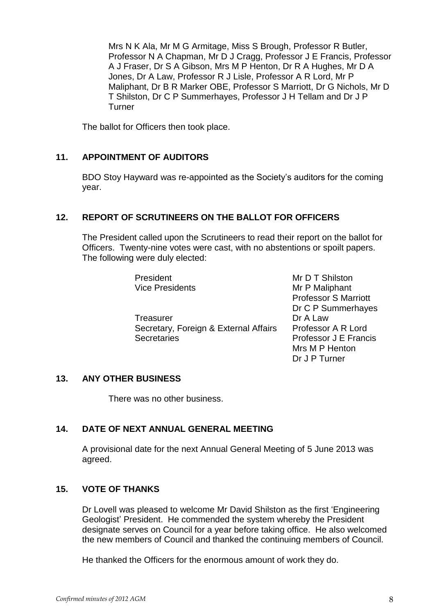Mrs N K Ala, Mr M G Armitage, Miss S Brough, Professor R Butler, Professor N A Chapman, Mr D J Cragg, Professor J E Francis, Professor A J Fraser, Dr S A Gibson, Mrs M P Henton, Dr R A Hughes, Mr D A Jones, Dr A Law, Professor R J Lisle, Professor A R Lord, Mr P Maliphant, Dr B R Marker OBE, Professor S Marriott, Dr G Nichols, Mr D T Shilston, Dr C P Summerhayes, Professor J H Tellam and Dr J P Turner

The ballot for Officers then took place.

## **11. APPOINTMENT OF AUDITORS**

BDO Stoy Hayward was re-appointed as the Society's auditors for the coming year.

## **12. REPORT OF SCRUTINEERS ON THE BALLOT FOR OFFICERS**

The President called upon the Scrutineers to read their report on the ballot for Officers. Twenty-nine votes were cast, with no abstentions or spoilt papers. The following were duly elected:

| President                             | Mr D T Shilston             |
|---------------------------------------|-----------------------------|
| <b>Vice Presidents</b>                | Mr P Maliphant              |
|                                       | <b>Professor S Marriott</b> |
|                                       | Dr C P Summerhayes          |
| <b>Treasurer</b>                      | Dr A Law                    |
| Secretary, Foreign & External Affairs | Professor A R Lord          |
| <b>Secretaries</b>                    | Professor J E Francis       |
|                                       | Mrs M P Henton              |
|                                       | Dr J P Turner               |

### **13. ANY OTHER BUSINESS**

There was no other business.

### **14. DATE OF NEXT ANNUAL GENERAL MEETING**

A provisional date for the next Annual General Meeting of 5 June 2013 was agreed.

### **15. VOTE OF THANKS**

Dr Lovell was pleased to welcome Mr David Shilston as the first 'Engineering Geologist' President. He commended the system whereby the President designate serves on Council for a year before taking office. He also welcomed the new members of Council and thanked the continuing members of Council.

He thanked the Officers for the enormous amount of work they do.